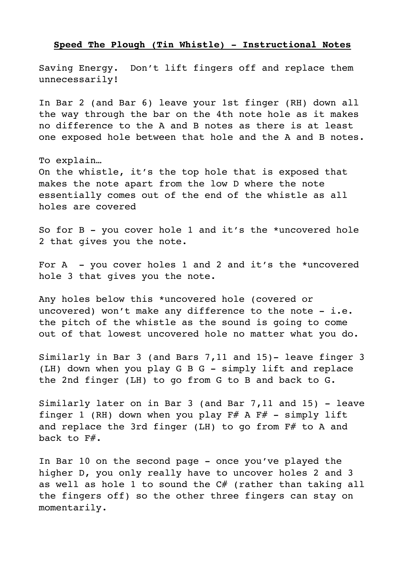## **Speed The Plough (Tin Whistle) - Instructional Notes**

Saving Energy. Don't lift fingers off and replace them unnecessarily!

In Bar 2 (and Bar 6) leave your 1st finger (RH) down all the way through the bar on the 4th note hole as it makes no difference to the A and B notes as there is at least one exposed hole between that hole and the A and B notes.

To explain…

On the whistle, it's the top hole that is exposed that makes the note apart from the low D where the note essentially comes out of the end of the whistle as all holes are covered

So for B - you cover hole 1 and it's the \*uncovered hole 2 that gives you the note.

For  $A$  - you cover holes 1 and 2 and it's the \*uncovered hole 3 that gives you the note.

Any holes below this \*uncovered hole (covered or uncovered) won't make any difference to the note  $-$  i.e. the pitch of the whistle as the sound is going to come out of that lowest uncovered hole no matter what you do.

Similarly in Bar 3 (and Bars 7,11 and 15)- leave finger 3 (LH) down when you play G B G - simply lift and replace the 2nd finger (LH) to go from G to B and back to G.

Similarly later on in Bar 3 (and Bar 7,11 and 15) - leave finger 1 (RH) down when you play  $F#$  A  $F#$  - simply lift and replace the 3rd finger (LH) to go from  $F#$  to A and back to F#.

In Bar 10 on the second page - once you've played the higher D, you only really have to uncover holes 2 and 3 as well as hole 1 to sound the  $C#$  (rather than taking all the fingers off) so the other three fingers can stay on momentarily.